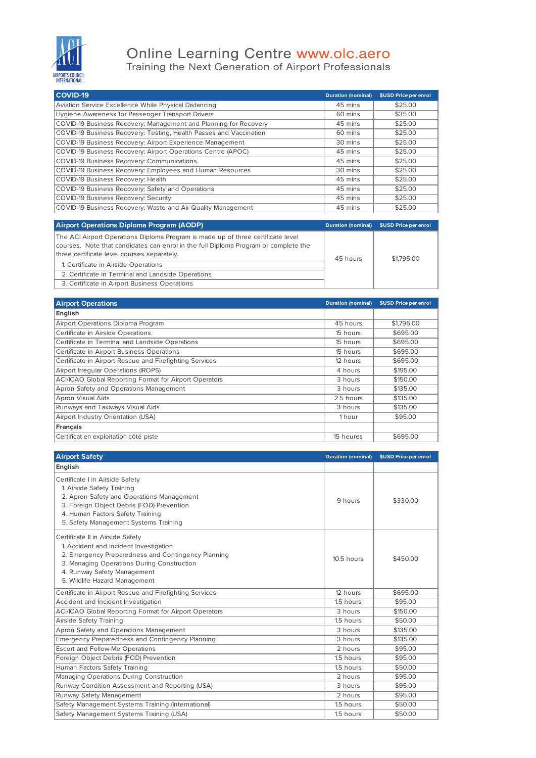

## Online Learning Centre www.olc.aero<br>Training the Next Generation of Airport Professionals

| COVID-19                                                           | <b>Duration (nominal)</b> | \$USD Price per enrol |
|--------------------------------------------------------------------|---------------------------|-----------------------|
| Aviation Service Excellence While Physical Distancing              | 45 mins                   | \$25.00               |
| Hygiene Awareness for Passenger Transport Drivers                  | 60 mins                   | \$35.00               |
| COVID-19 Business Recovery: Management and Planning for Recovery   | 45 mins                   | \$25.00               |
| COVID-19 Business Recovery: Testing, Health Passes and Vaccination | 60 mins                   | \$25.00               |
| COVID-19 Business Recovery: Airport Experience Management          | 30 mins                   | \$25.00               |
| COVID-19 Business Recovery: Airport Operations Centre (APOC)       | 45 mins                   | \$25.00               |
| COVID-19 Business Recovery: Communications                         | 45 mins                   | \$25.00               |
| COVID-19 Business Recovery: Employees and Human Resources          | 30 mins                   | \$25.00               |
| COVID-19 Business Recovery: Health                                 | 45 mins                   | \$25.00               |
| COVID-19 Business Recovery: Safety and Operations                  | 45 mins                   | \$25.00               |
| COVID-19 Business Recovery: Security                               | 45 mins                   | \$25.00               |
| COVID-19 Business Recovery: Waste and Air Quality Management       | 45 mins                   | \$25.00               |

| <b>Airport Operations Diploma Program (AODP)</b>                                                                                                                                                                       |          | Duration (nominal) \$USD Price per enrol |
|------------------------------------------------------------------------------------------------------------------------------------------------------------------------------------------------------------------------|----------|------------------------------------------|
| The ACI Airport Operations Diploma Program is made up of three certificate level<br>courses. Note that candidates can enrol in the full Diploma Program or complete the<br>three certificate level courses separately. | 45 hours | \$1,795.00                               |
| 1. Certificate in Airside Operations                                                                                                                                                                                   |          |                                          |
| 2. Certificate in Terminal and Landside Operations                                                                                                                                                                     |          |                                          |
| 3. Certificate in Airport Business Operations                                                                                                                                                                          |          |                                          |

| <b>Airport Operations</b>                                     | <b>Duration (nominal)</b> | \$USD Price per enrol |
|---------------------------------------------------------------|---------------------------|-----------------------|
| English                                                       |                           |                       |
| Airport Operations Diploma Program                            | 45 hours                  | \$1,795.00            |
| Certificate in Airside Operations                             | 15 hours                  | \$695.00              |
| Certificate in Terminal and Landside Operations               | 15 hours                  | \$695.00              |
| Certificate in Airport Business Operations                    | 15 hours                  | \$695.00              |
| Certificate in Airport Rescue and Firefighting Services       | 12 hours                  | \$695.00              |
| Airport Irregular Operations (IROPS)                          | 4 hours                   | \$195.00              |
| <b>ACI/ICAO Global Reporting Format for Airport Operators</b> | 3 hours                   | \$150.00              |
| Apron Safety and Operations Management                        | 3 hours                   | \$135.00              |
| Apron Visual Aids                                             | 2.5 hours                 | \$135.00              |
| Runways and Taxiways Visual Aids                              | 3 hours                   | \$135.00              |
| Airport Industry Orientation (USA)                            | 1 hour                    | \$95.00               |
| <b>Français</b>                                               |                           |                       |
| Certificat en exploitation côté piste                         | 15 heures                 | \$695.00              |

| <b>Airport Safety</b>                                                                                                                                                                                                                          | <b>Duration (nominal)</b> | \$USD Price per enrol |
|------------------------------------------------------------------------------------------------------------------------------------------------------------------------------------------------------------------------------------------------|---------------------------|-----------------------|
| English                                                                                                                                                                                                                                        |                           |                       |
| Certificate I in Airside Safety<br>1. Airside Safety Training<br>2. Apron Safety and Operations Management<br>3. Foreign Object Debris (FOD) Prevention<br>4. Human Factors Safety Training<br>5. Safety Management Systems Training           | 9 hours                   | \$330.00              |
| Certificate II in Airside Safety<br>1. Accident and Incident Investigation<br>2. Emergency Preparedness and Contingency Planning<br>3. Managing Operations During Construction<br>4. Runway Safety Management<br>5. Wildlife Hazard Management | 10 <sub>5</sub> hours     | \$450.00              |
| Certificate in Airport Rescue and Firefighting Services                                                                                                                                                                                        | 12 hours                  | \$695.00              |
| Accident and Incident Investigation                                                                                                                                                                                                            | 1.5 hours                 | \$95.00               |
| <b>ACI/ICAO Global Reporting Format for Airport Operators</b>                                                                                                                                                                                  | 3 hours                   | \$150.00              |
| Airside Safety Training                                                                                                                                                                                                                        | 1.5 hours                 | \$50.00               |
| Apron Safety and Operations Management                                                                                                                                                                                                         | 3 hours                   | \$135.00              |
| <b>Emergency Preparedness and Contingency Planning</b>                                                                                                                                                                                         | 3 hours                   | \$135.00              |
| <b>Escort and Follow-Me Operations</b>                                                                                                                                                                                                         | 2 hours                   | \$95.00               |
| Foreign Object Debris (FOD) Prevention                                                                                                                                                                                                         | 1.5 hours                 | \$95.00               |
| Human Factors Safety Training                                                                                                                                                                                                                  | 1.5 hours                 | \$50.00               |
| Managing Operations During Construction                                                                                                                                                                                                        | 2 hours                   | \$95.00               |
| Runway Condition Assessment and Reporting (USA)                                                                                                                                                                                                | 3 hours                   | \$95.00               |
| Runway Safety Management                                                                                                                                                                                                                       | 2 hours                   | \$95.00               |
| Safety Management Systems Training (International)                                                                                                                                                                                             | 1.5 hours                 | \$50.00               |
| Safety Management Systems Training (USA)                                                                                                                                                                                                       | 1.5 hours                 | \$50.00               |